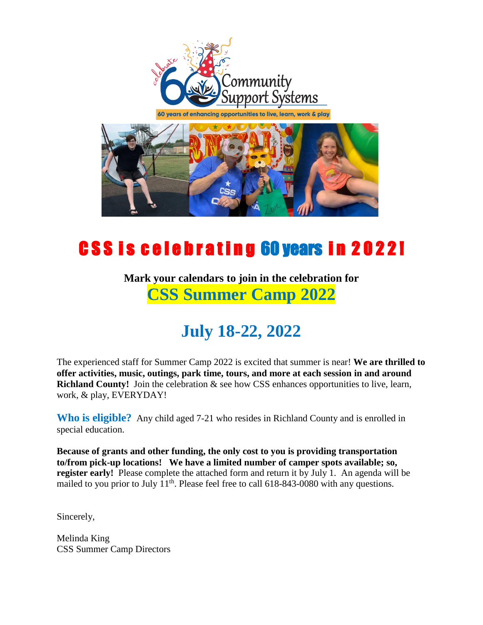

60 years of enhancing opportunities to live, learn, work & play



## CSS is celebrating 60 years in 2022!

## **Mark your calendars to join in the celebration for CSS Summer Camp 2022**

## **July 18-22, 2022**

The experienced staff for Summer Camp 2022 is excited that summer is near! **We are thrilled to offer activities, music, outings, park time, tours, and more at each session in and around Richland County!** Join the celebration & see how CSS enhances opportunities to live, learn, work, & play, EVERYDAY!

**Who is eligible?** Any child aged 7-21 who resides in Richland County and is enrolled in special education.

**Because of grants and other funding, the only cost to you is providing transportation to/from pick-up locations! We have a limited number of camper spots available; so, register early!** Please complete the attached form and return it by July 1. An agenda will be mailed to you prior to July  $11<sup>th</sup>$ . Please feel free to call 618-843-0080 with any questions.

Sincerely,

Melinda King CSS Summer Camp Directors